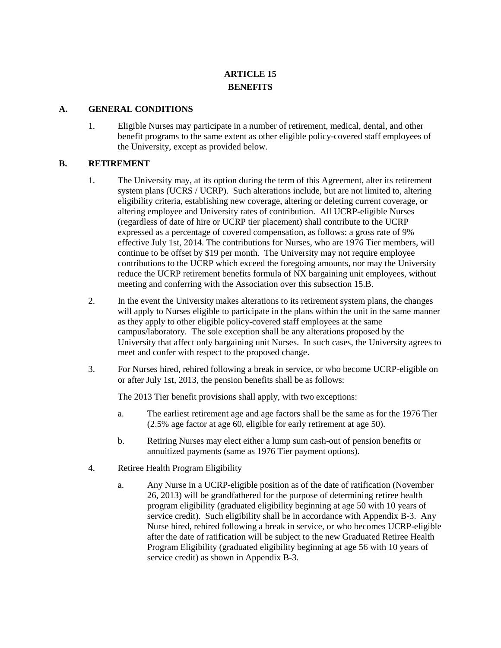## **ARTICLE 15 BENEFITS**

## **A. GENERAL CONDITIONS**

1. Eligible Nurses may participate in a number of retirement, medical, dental, and other benefit programs to the same extent as other eligible policy-covered staff employees of the University, except as provided below.

## **B. RETIREMENT**

- 1. The University may, at its option during the term of this Agreement, alter its retirement system plans (UCRS / UCRP). Such alterations include, but are not limited to, altering eligibility criteria, establishing new coverage, altering or deleting current coverage, or altering employee and University rates of contribution. All UCRP-eligible Nurses (regardless of date of hire or UCRP tier placement) shall contribute to the UCRP expressed as a percentage of covered compensation, as follows: a gross rate of 9% effective July 1st, 2014. The contributions for Nurses, who are 1976 Tier members, will continue to be offset by \$19 per month. The University may not require employee contributions to the UCRP which exceed the foregoing amounts, nor may the University reduce the UCRP retirement benefits formula of NX bargaining unit employees, without meeting and conferring with the Association over this subsection 15.B.
- 2. In the event the University makes alterations to its retirement system plans, the changes will apply to Nurses eligible to participate in the plans within the unit in the same manner as they apply to other eligible policy-covered staff employees at the same campus/laboratory. The sole exception shall be any alterations proposed by the University that affect only bargaining unit Nurses. In such cases, the University agrees to meet and confer with respect to the proposed change.
- 3. For Nurses hired, rehired following a break in service, or who become UCRP-eligible on or after July 1st, 2013, the pension benefits shall be as follows:

The 2013 Tier benefit provisions shall apply, with two exceptions:

- a. The earliest retirement age and age factors shall be the same as for the 1976 Tier (2.5% age factor at age 60, eligible for early retirement at age 50).
- b. Retiring Nurses may elect either a lump sum cash-out of pension benefits or annuitized payments (same as 1976 Tier payment options).
- 4. Retiree Health Program Eligibility
	- a. Any Nurse in a UCRP-eligible position as of the date of ratification (November 26, 2013) will be grandfathered for the purpose of determining retiree health program eligibility (graduated eligibility beginning at age 50 with 10 years of service credit). Such eligibility shall be in accordance with Appendix B-3. Any Nurse hired, rehired following a break in service, or who becomes UCRP-eligible after the date of ratification will be subject to the new Graduated Retiree Health Program Eligibility (graduated eligibility beginning at age 56 with 10 years of service credit) as shown in Appendix B-3.